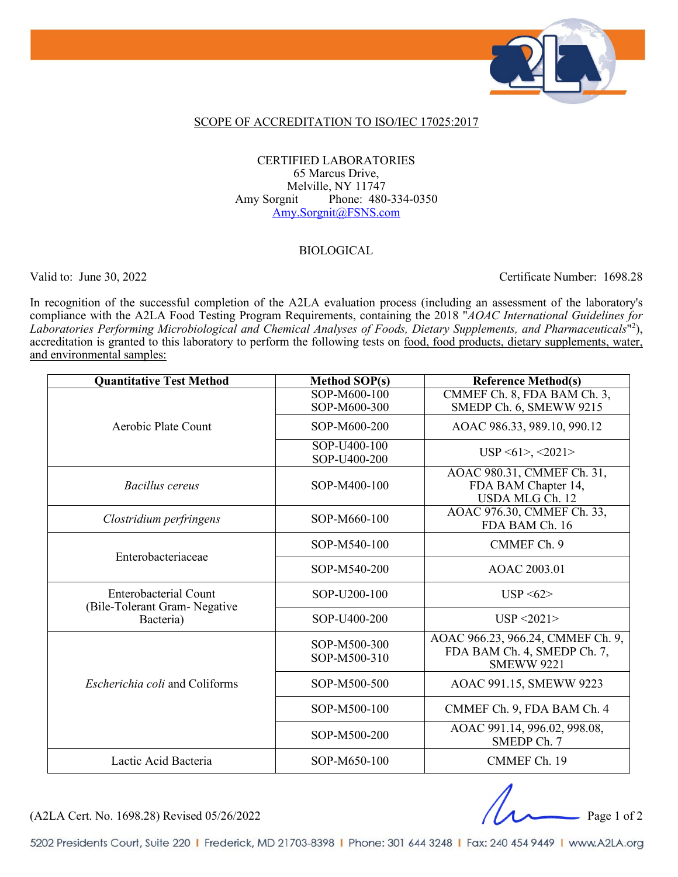

#### SCOPE OF ACCREDITATION TO ISO/IEC 17025:2017

#### CERTIFIED LABORATORIES 65 Marcus Drive, Melville, NY 11747 Amy Sorgnit Phone: 480-334-0350 [Amy.Sorgnit@FSNS.com](mailto:Amy.Sorgnit@FSNS.com)

#### BIOLOGICAL

Valid to: June 30, 2022 Certificate Number: 1698.28

In recognition of the successful completion of the A2LA evaluation process (including an assessment of the laboratory's compliance with the A2LA Food Testing Program Requirements, containing the 2018 "*AOAC International Guidelines for Laboratories Performing Microbiological and Chemical Analyses of Foods, Dietary Supplements, and Pharmaceuticals*"2 ), accreditation is granted to this laboratory to perform the following tests on <u>food, food products, dietary supplements, water</u>, and environmental samples:

| <b>Quantitative Test Method</b>                                     | Method SOP(s)                | <b>Reference Method(s)</b>                                                            |
|---------------------------------------------------------------------|------------------------------|---------------------------------------------------------------------------------------|
| Aerobic Plate Count                                                 | SOP-M600-100<br>SOP-M600-300 | CMMEF Ch. 8, FDA BAM Ch. 3,<br>SMEDP Ch. 6, SMEWW 9215                                |
|                                                                     | SOP-M600-200                 | AOAC 986.33, 989.10, 990.12                                                           |
|                                                                     | SOP-U400-100<br>SOP-U400-200 | $USP \le 61$ , $\le 2021$                                                             |
| Bacillus cereus                                                     | SOP-M400-100                 | AOAC 980.31, CMMEF Ch. 31,<br>FDA BAM Chapter 14,<br><b>USDA MLG Ch. 12</b>           |
| Clostridium perfringens                                             | SOP-M660-100                 | AOAC 976.30, CMMEF Ch. 33,<br>FDA BAM Ch. 16                                          |
| Enterobacteriaceae                                                  | SOP-M540-100                 | CMMEF Ch. 9                                                                           |
|                                                                     | SOP-M540-200                 | AOAC 2003.01                                                                          |
| Enterobacterial Count<br>(Bile-Tolerant Gram- Negative<br>Bacteria) | SOP-U200-100                 | $USP \leq 62$                                                                         |
|                                                                     | SOP-U400-200                 | USP < 2021                                                                            |
|                                                                     | SOP-M500-300<br>SOP-M500-310 | AOAC 966.23, 966.24, CMMEF Ch. 9,<br>FDA BAM Ch. 4, SMEDP Ch. 7,<br><b>SMEWW 9221</b> |
| <i>Escherichia coli</i> and Coliforms                               | SOP-M500-500                 | AOAC 991.15, SMEWW 9223                                                               |
|                                                                     | SOP-M500-100                 | CMMEF Ch. 9, FDA BAM Ch. 4                                                            |
|                                                                     | SOP-M500-200                 | AOAC 991.14, 996.02, 998.08,<br>SMEDP Ch. 7                                           |
| Lactic Acid Bacteria                                                | SOP-M650-100                 | CMMEF Ch. 19                                                                          |

(A2LA Cert. No. 1698.28) Revised 05/26/2022 Page 1 of 2

5202 Presidents Court, Suite 220 | Frederick, MD 21703-8398 | Phone: 301 644 3248 | Fax: 240 454 9449 | www.A2LA.org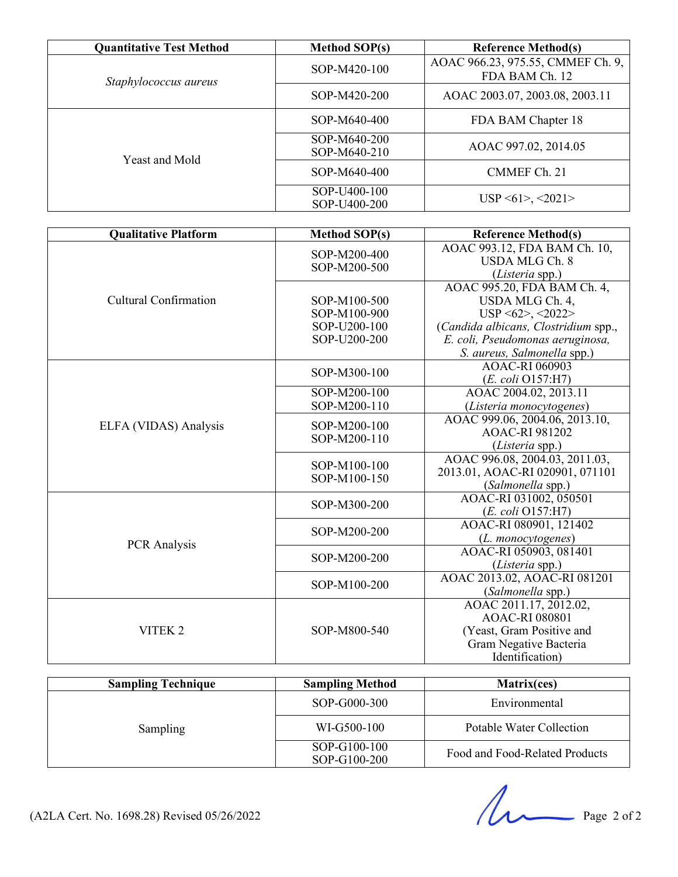| <b>Quantitative Test Method</b> | <b>Method SOP(s)</b>         | <b>Reference Method(s)</b>                          |
|---------------------------------|------------------------------|-----------------------------------------------------|
| Staphylococcus aureus           | SOP-M420-100                 | AOAC 966.23, 975.55, CMMEF Ch. 9,<br>FDA BAM Ch. 12 |
|                                 | SOP-M420-200                 | AOAC 2003.07, 2003.08, 2003.11                      |
| <b>Yeast and Mold</b>           | SOP-M640-400                 | FDA BAM Chapter 18                                  |
|                                 | SOP-M640-200<br>SOP-M640-210 | AOAC 997.02, 2014.05                                |
|                                 | SOP-M640-400                 | CMMEF Ch. 21                                        |
|                                 | SOP-U400-100<br>SOP-U400-200 | USP < 61 > , <2021 >                                |

| <b>Qualitative Platform</b>  | <b>Method SOP(s)</b>                                         | <b>Reference Method(s)</b>                                                                                                                                                             |
|------------------------------|--------------------------------------------------------------|----------------------------------------------------------------------------------------------------------------------------------------------------------------------------------------|
|                              | SOP-M200-400<br>SOP-M200-500                                 | AOAC 993.12, FDA BAM Ch. 10,<br><b>USDA MLG Ch. 8</b><br>(Listeria spp.)                                                                                                               |
| <b>Cultural Confirmation</b> | SOP-M100-500<br>SOP-M100-900<br>SOP-U200-100<br>SOP-U200-200 | AOAC 995.20, FDA BAM Ch. 4,<br>USDA MLG Ch. 4,<br>$USP \le 62$ , $\le 2022$<br>(Candida albicans, Clostridium spp.,<br>E. coli, Pseudomonas aeruginosa,<br>S. aureus, Salmonella spp.) |
|                              | SOP-M300-100                                                 | AOAC-RI 060903<br>$(E. \text{ coli } O157: H7)$                                                                                                                                        |
|                              | SOP-M200-100<br>SOP-M200-110                                 | AOAC 2004.02, 2013.11<br>(Listeria monocytogenes)                                                                                                                                      |
| ELFA (VIDAS) Analysis        | SOP-M200-100<br>SOP-M200-110                                 | AOAC 999.06, 2004.06, 2013.10,<br><b>AOAC-RI 981202</b><br>(Listeria spp.)                                                                                                             |
|                              | SOP-M100-100<br>SOP-M100-150                                 | AOAC 996.08, 2004.03, 2011.03,<br>2013.01, AOAC-RI 020901, 071101<br>(Salmonella spp.)                                                                                                 |
| <b>PCR</b> Analysis          | SOP-M300-200                                                 | AOAC-RI 031002, 050501<br>$(E. \text{ coli } O157: H7)$                                                                                                                                |
|                              | SOP-M200-200                                                 | AOAC-RI 080901, 121402<br>(L. monocytogenes)                                                                                                                                           |
|                              | SOP-M200-200                                                 | AOAC-RI 050903, 081401<br>(Listeria spp.)                                                                                                                                              |
|                              | SOP-M100-200                                                 | AOAC 2013.02, AOAC-RI 081201<br>(Salmonella spp.)                                                                                                                                      |
| VITEK <sub>2</sub>           | SOP-M800-540                                                 | AOAC 2011.17, 2012.02,<br><b>AOAC-RI 080801</b><br>(Yeast, Gram Positive and<br>Gram Negative Bacteria<br>Identification)                                                              |

| <b>Sampling Technique</b> | <b>Sampling Method</b>       | Matrix(ces)                    |
|---------------------------|------------------------------|--------------------------------|
|                           | SOP-G000-300                 | Environmental                  |
| Sampling                  | WI-G500-100                  | Potable Water Collection       |
|                           | SOP-G100-100<br>SOP-G100-200 | Food and Food-Related Products |

(A2LA Cert. No. 1698.28) Revised 05/26/2022 Page 2 of 2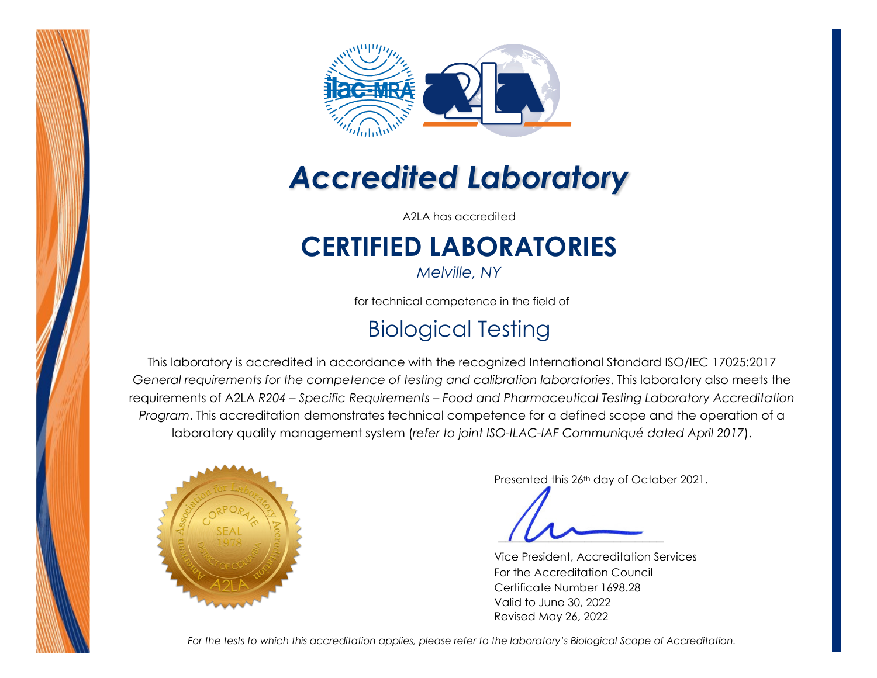



# *Accredited Laboratory*

A2LA has accredited

## **CERTIFIED LABORATORIES**

*Melville, NY*

for technical competence in the field of

### Biological Testing

This laboratory is accredited in accordance with the recognized International Standard ISO/IEC 17025:2017 *General requirements for the competence of testing and calibration laboratories*. This laboratory also meets the requirements of A2LA *R204 – Specific Requirements – Food and Pharmaceutical Testing Laboratory Accreditation Program*. This accreditation demonstrates technical competence for a defined scope and the operation of a laboratory quality management system (*refer to joint ISO-ILAC-IAF Communiqué dated April 2017*).



Presented this 26th day of October 2021.

Vice President, Accreditation Services For the Accreditation Council Certificate Number 1698.28 Valid to June 30, 2022 Revised May 26, 2022

*For the tests to which this accreditation applies, please refer to the laboratory's Biological Scope of Accreditation.*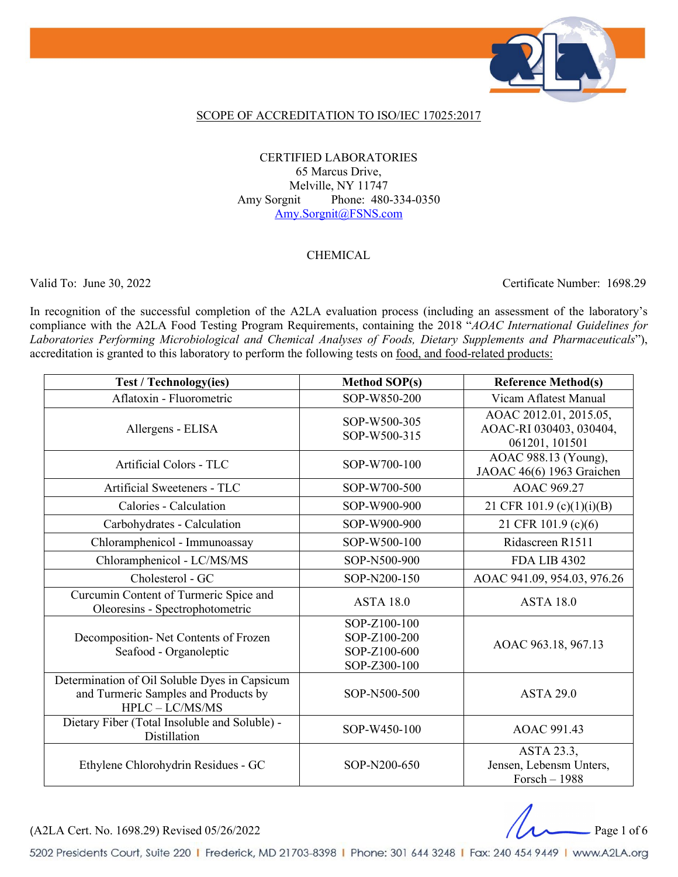

#### SCOPE OF ACCREDITATION TO ISO/IEC 17025:2017

#### CERTIFIED LABORATORIES 65 Marcus Drive, Melville, NY 11747 Amy Sorgnit Phone: 480-334-0350 Amy.Sorgnit@FSNS.com

#### **CHEMICAL**

Valid To: June 30, 2022 Certificate Number: 1698.29

In recognition of the successful completion of the A2LA evaluation process (including an assessment of the laboratory's compliance with the A2LA Food Testing Program Requirements, containing the 2018 "*AOAC International Guidelines for Laboratories Performing Microbiological and Chemical Analyses of Foods, Dietary Supplements and Pharmaceuticals*"), accreditation is granted to this laboratory to perform the following tests on food, and food-related products:

| <b>Test / Technology(ies)</b>                                                                              | <b>Method SOP(s)</b>                                         | <b>Reference Method(s)</b>                                          |
|------------------------------------------------------------------------------------------------------------|--------------------------------------------------------------|---------------------------------------------------------------------|
| Aflatoxin - Fluorometric                                                                                   | SOP-W850-200                                                 | Vicam Aflatest Manual                                               |
| Allergens - ELISA                                                                                          | SOP-W500-305<br>SOP-W500-315                                 | AOAC 2012.01, 2015.05,<br>AOAC-RI 030403, 030404,<br>061201, 101501 |
| Artificial Colors - TLC                                                                                    | SOP-W700-100                                                 | AOAC 988.13 (Young),<br>JAOAC 46(6) 1963 Graichen                   |
| Artificial Sweeteners - TLC                                                                                | SOP-W700-500                                                 | <b>AOAC 969.27</b>                                                  |
| Calories - Calculation                                                                                     | SOP-W900-900                                                 | 21 CFR 101.9 (c)(1)(i)(B)                                           |
| Carbohydrates - Calculation                                                                                | SOP-W900-900                                                 | 21 CFR 101.9 (c)(6)                                                 |
| Chloramphenicol - Immunoassay                                                                              | SOP-W500-100                                                 | Ridascreen R1511                                                    |
| Chloramphenicol - LC/MS/MS                                                                                 | SOP-N500-900                                                 | <b>FDA LIB 4302</b>                                                 |
| Cholesterol - GC                                                                                           | SOP-N200-150                                                 | AOAC 941.09, 954.03, 976.26                                         |
| Curcumin Content of Turmeric Spice and<br>Oleoresins - Spectrophotometric                                  | <b>ASTA 18.0</b>                                             | <b>ASTA 18.0</b>                                                    |
| Decomposition- Net Contents of Frozen<br>Seafood - Organoleptic                                            | SOP-Z100-100<br>SOP-Z100-200<br>SOP-Z100-600<br>SOP-Z300-100 | AOAC 963.18, 967.13                                                 |
| Determination of Oil Soluble Dyes in Capsicum<br>and Turmeric Samples and Products by<br>$HPLC - LC/MS/MS$ | SOP-N500-500                                                 | <b>ASTA 29.0</b>                                                    |
| Dietary Fiber (Total Insoluble and Soluble) -<br>Distillation                                              | SOP-W450-100                                                 | AOAC 991.43                                                         |
| Ethylene Chlorohydrin Residues - GC                                                                        | SOP-N200-650                                                 | ASTA 23.3,<br>Jensen, Lebensm Unters,<br>Forsch $-1988$             |

(A2LA Cert. No. 1698.29) Revised 05/26/2022 Page 1 of 6

5202 Presidents Court, Suite 220 | Frederick, MD 21703-8398 | Phone: 301 644 3248 | Fax: 240 454 9449 | www.A2LA.org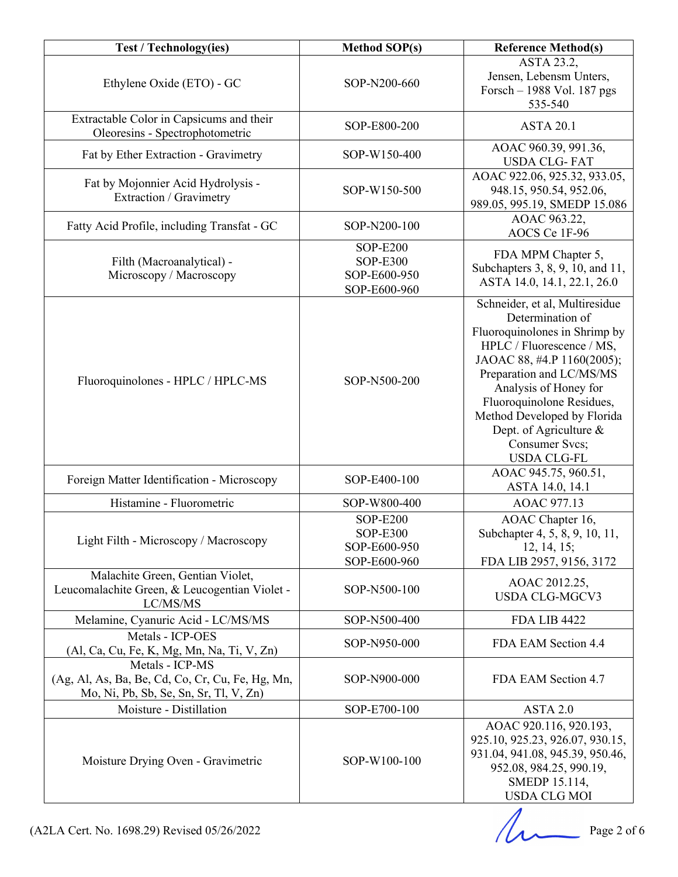| <b>Test / Technology(ies)</b>                                                                                 | <b>Method SOP(s)</b>                                               | <b>Reference Method(s)</b>                                                                                                                                                                                                                                                                                                        |
|---------------------------------------------------------------------------------------------------------------|--------------------------------------------------------------------|-----------------------------------------------------------------------------------------------------------------------------------------------------------------------------------------------------------------------------------------------------------------------------------------------------------------------------------|
| Ethylene Oxide (ETO) - GC                                                                                     | SOP-N200-660                                                       | ASTA 23.2,<br>Jensen, Lebensm Unters,<br>Forsch - 1988 Vol. 187 pgs<br>535-540                                                                                                                                                                                                                                                    |
| Extractable Color in Capsicums and their<br>Oleoresins - Spectrophotometric                                   | SOP-E800-200                                                       | <b>ASTA 20.1</b>                                                                                                                                                                                                                                                                                                                  |
| Fat by Ether Extraction - Gravimetry                                                                          | SOP-W150-400                                                       | AOAC 960.39, 991.36,<br><b>USDA CLG-FAT</b>                                                                                                                                                                                                                                                                                       |
| Fat by Mojonnier Acid Hydrolysis -<br>Extraction / Gravimetry                                                 | SOP-W150-500                                                       | AOAC 922.06, 925.32, 933.05,<br>948.15, 950.54, 952.06,<br>989.05, 995.19, SMEDP 15.086                                                                                                                                                                                                                                           |
| Fatty Acid Profile, including Transfat - GC                                                                   | SOP-N200-100                                                       | AOAC 963.22,<br>AOCS Ce 1F-96                                                                                                                                                                                                                                                                                                     |
| Filth (Macroanalytical) -<br>Microscopy / Macroscopy                                                          | <b>SOP-E200</b><br><b>SOP-E300</b><br>SOP-E600-950<br>SOP-E600-960 | FDA MPM Chapter 5,<br>Subchapters 3, 8, 9, 10, and 11,<br>ASTA 14.0, 14.1, 22.1, 26.0                                                                                                                                                                                                                                             |
| Fluoroquinolones - HPLC / HPLC-MS                                                                             | SOP-N500-200                                                       | Schneider, et al, Multiresidue<br>Determination of<br>Fluoroquinolones in Shrimp by<br>HPLC / Fluorescence / MS,<br>JAOAC 88, #4.P 1160(2005);<br>Preparation and LC/MS/MS<br>Analysis of Honey for<br>Fluoroquinolone Residues,<br>Method Developed by Florida<br>Dept. of Agriculture &<br>Consumer Svcs;<br><b>USDA CLG-FL</b> |
| Foreign Matter Identification - Microscopy                                                                    | SOP-E400-100                                                       | AOAC 945.75, 960.51,<br>ASTA 14.0, 14.1                                                                                                                                                                                                                                                                                           |
| Histamine - Fluorometric                                                                                      | SOP-W800-400                                                       | AOAC 977.13                                                                                                                                                                                                                                                                                                                       |
| Light Filth - Microscopy / Macroscopy                                                                         | <b>SOP-E200</b><br><b>SOP-E300</b><br>SOP-E600-950<br>SOP-E600-960 | AOAC Chapter 16,<br>Subchapter 4, 5, 8, 9, 10, 11,<br>12, 14, 15;<br>FDA LIB 2957, 9156, 3172                                                                                                                                                                                                                                     |
| Malachite Green, Gentian Violet,<br>Leucomalachite Green, & Leucogentian Violet -<br>LC/MS/MS                 | SOP-N500-100                                                       | AOAC 2012.25,<br><b>USDA CLG-MGCV3</b>                                                                                                                                                                                                                                                                                            |
| Melamine, Cyanuric Acid - LC/MS/MS                                                                            | SOP-N500-400                                                       | <b>FDA LIB 4422</b>                                                                                                                                                                                                                                                                                                               |
| Metals - ICP-OES<br>(Al, Ca, Cu, Fe, K, Mg, Mn, Na, Ti, V, Zn)                                                | SOP-N950-000                                                       | FDA EAM Section 4.4                                                                                                                                                                                                                                                                                                               |
| Metals - ICP-MS<br>(Ag, Al, As, Ba, Be, Cd, Co, Cr, Cu, Fe, Hg, Mn,<br>Mo, Ni, Pb, Sb, Se, Sn, Sr, Tl, V, Zn) | SOP-N900-000                                                       | FDA EAM Section 4.7                                                                                                                                                                                                                                                                                                               |
| Moisture - Distillation                                                                                       | SOP-E700-100                                                       | ASTA 2.0                                                                                                                                                                                                                                                                                                                          |
| Moisture Drying Oven - Gravimetric                                                                            | SOP-W100-100                                                       | AOAC 920.116, 920.193,<br>925.10, 925.23, 926.07, 930.15,<br>931.04, 941.08, 945.39, 950.46,<br>952.08, 984.25, 990.19,<br>SMEDP 15.114,<br><b>USDA CLG MOI</b>                                                                                                                                                                   |

 $\mu$  Page 2 of 6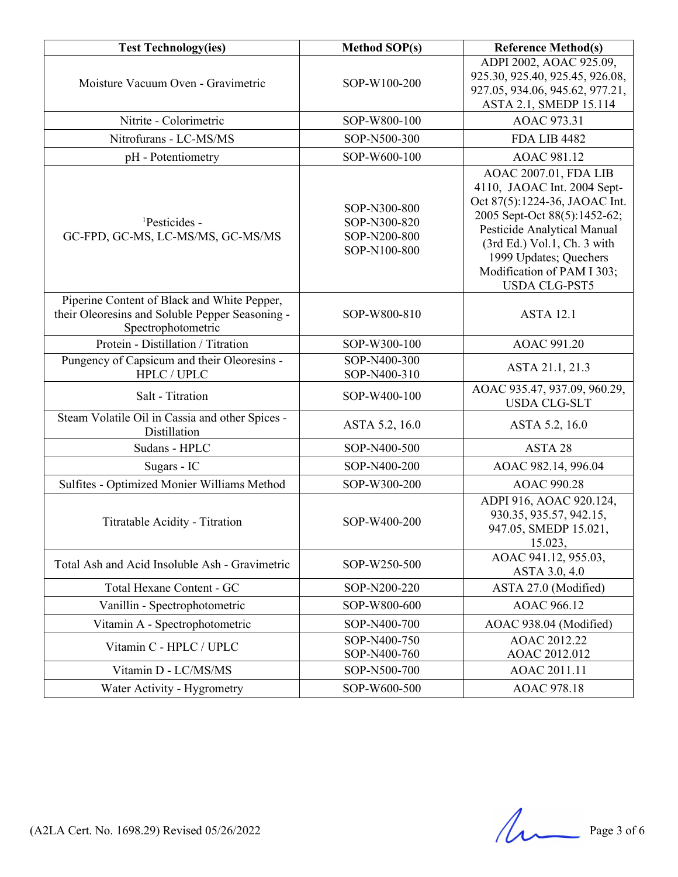| <b>Test Technology(ies)</b>                                                                                          | <b>Method SOP(s)</b>                                         | <b>Reference Method(s)</b>                                                                                                                                                                                                                                          |
|----------------------------------------------------------------------------------------------------------------------|--------------------------------------------------------------|---------------------------------------------------------------------------------------------------------------------------------------------------------------------------------------------------------------------------------------------------------------------|
| Moisture Vacuum Oven - Gravimetric                                                                                   | SOP-W100-200                                                 | ADPI 2002, AOAC 925.09,<br>925.30, 925.40, 925.45, 926.08,<br>927.05, 934.06, 945.62, 977.21,<br>ASTA 2.1, SMEDP 15.114                                                                                                                                             |
| Nitrite - Colorimetric                                                                                               | SOP-W800-100                                                 | AOAC 973.31                                                                                                                                                                                                                                                         |
| Nitrofurans - LC-MS/MS                                                                                               | SOP-N500-300                                                 | <b>FDA LIB 4482</b>                                                                                                                                                                                                                                                 |
| pH - Potentiometry                                                                                                   | SOP-W600-100                                                 | AOAC 981.12                                                                                                                                                                                                                                                         |
| <sup>1</sup> Pesticides -<br>GC-FPD, GC-MS, LC-MS/MS, GC-MS/MS                                                       | SOP-N300-800<br>SOP-N300-820<br>SOP-N200-800<br>SOP-N100-800 | AOAC 2007.01, FDA LIB<br>4110, JAOAC Int. 2004 Sept-<br>Oct 87(5):1224-36, JAOAC Int.<br>2005 Sept-Oct 88(5):1452-62;<br>Pesticide Analytical Manual<br>(3rd Ed.) Vol.1, Ch. 3 with<br>1999 Updates; Quechers<br>Modification of PAM I 303;<br><b>USDA CLG-PST5</b> |
| Piperine Content of Black and White Pepper,<br>their Oleoresins and Soluble Pepper Seasoning -<br>Spectrophotometric | SOP-W800-810                                                 | <b>ASTA 12.1</b>                                                                                                                                                                                                                                                    |
| Protein - Distillation / Titration                                                                                   | SOP-W300-100                                                 | AOAC 991.20                                                                                                                                                                                                                                                         |
| Pungency of Capsicum and their Oleoresins -<br>HPLC / UPLC                                                           | SOP-N400-300<br>SOP-N400-310                                 | ASTA 21.1, 21.3                                                                                                                                                                                                                                                     |
| Salt - Titration                                                                                                     | SOP-W400-100                                                 | AOAC 935.47, 937.09, 960.29,<br><b>USDA CLG-SLT</b>                                                                                                                                                                                                                 |
| Steam Volatile Oil in Cassia and other Spices -<br>Distillation                                                      | ASTA 5.2, 16.0                                               | ASTA 5.2, 16.0                                                                                                                                                                                                                                                      |
| Sudans - HPLC                                                                                                        | SOP-N400-500                                                 | ASTA 28                                                                                                                                                                                                                                                             |
| Sugars - IC                                                                                                          | SOP-N400-200                                                 | AOAC 982.14, 996.04                                                                                                                                                                                                                                                 |
| Sulfites - Optimized Monier Williams Method                                                                          | SOP-W300-200                                                 | <b>AOAC 990.28</b>                                                                                                                                                                                                                                                  |
| Titratable Acidity - Titration                                                                                       | SOP-W400-200                                                 | ADPI 916, AOAC 920.124,<br>930.35, 935.57, 942.15,<br>947.05, SMEDP 15.021,<br>15.023,                                                                                                                                                                              |
| Total Ash and Acid Insoluble Ash - Gravimetric                                                                       | SOP-W250-500                                                 | AOAC 941.12, 955.03,<br>ASTA 3.0, 4.0                                                                                                                                                                                                                               |
| Total Hexane Content - GC                                                                                            | SOP-N200-220                                                 | ASTA 27.0 (Modified)                                                                                                                                                                                                                                                |
| Vanillin - Spectrophotometric                                                                                        | SOP-W800-600                                                 | AOAC 966.12                                                                                                                                                                                                                                                         |
| Vitamin A - Spectrophotometric                                                                                       | SOP-N400-700                                                 | AOAC 938.04 (Modified)                                                                                                                                                                                                                                              |
| Vitamin C - HPLC / UPLC                                                                                              | SOP-N400-750<br>SOP-N400-760                                 | AOAC 2012.22<br>AOAC 2012.012                                                                                                                                                                                                                                       |
| Vitamin D - LC/MS/MS                                                                                                 | SOP-N500-700                                                 | AOAC 2011.11                                                                                                                                                                                                                                                        |
| Water Activity - Hygrometry                                                                                          | SOP-W600-500                                                 | AOAC 978.18                                                                                                                                                                                                                                                         |

(A2LA Cert. No. 1698.29) Revised  $05/26/2022$  Page 3 of 6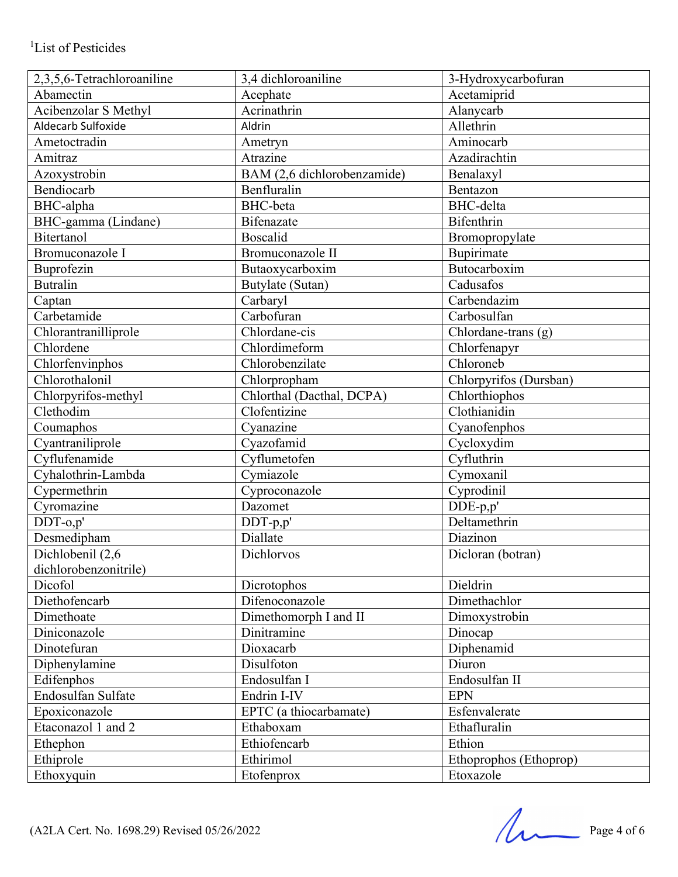| 2,3,5,6-Tetrachloroaniline | 3,4 dichloroaniline         | 3-Hydroxycarbofuran    |
|----------------------------|-----------------------------|------------------------|
| Abamectin                  | Acephate                    | Acetamiprid            |
| Acibenzolar S Methyl       | Acrinathrin                 | Alanycarb              |
| Aldecarb Sulfoxide         | Aldrin                      | Allethrin              |
| Ametoctradin               | Ametryn                     | Aminocarb              |
| Amitraz                    | Atrazine                    | Azadirachtin           |
| Azoxystrobin               | BAM (2,6 dichlorobenzamide) | Benalaxyl              |
| Bendiocarb                 | Benfluralin                 | Bentazon               |
| <b>BHC-alpha</b>           | <b>BHC-beta</b>             | <b>BHC-delta</b>       |
| BHC-gamma (Lindane)        | <b>Bifenazate</b>           | <b>Bifenthrin</b>      |
| <b>Bitertanol</b>          | <b>Boscalid</b>             | Bromopropylate         |
| Bromuconazole I            | Bromuconazole II            | Bupirimate             |
| Buprofezin                 | Butaoxycarboxim             | Butocarboxim           |
| <b>Butralin</b>            | Butylate (Sutan)            | Cadusafos              |
| Captan                     | Carbaryl                    | Carbendazim            |
| Carbetamide                | Carbofuran                  | Carbosulfan            |
| Chlorantranilliprole       | Chlordane-cis               | Chlordane-trans (g)    |
| Chlordene                  | Chlordimeform               | Chlorfenapyr           |
| Chlorfenvinphos            | Chlorobenzilate             | Chloroneb              |
| Chlorothalonil             | Chlorpropham                | Chlorpyrifos (Dursban) |
| Chlorpyrifos-methyl        | Chlorthal (Dacthal, DCPA)   | Chlorthiophos          |
| Clethodim                  | Clofentizine                | Clothianidin           |
| Coumaphos                  | Cyanazine                   | Cyanofenphos           |
| Cyantraniliprole           | Cyazofamid                  | Cycloxydim             |
| Cyflufenamide              | Cyflumetofen                | Cyfluthrin             |
| Cyhalothrin-Lambda         | Cymiazole                   | Cymoxanil              |
| Cypermethrin               | Cyproconazole               | Cyprodinil             |
| Cyromazine                 | Dazomet                     | DDE-p,p'               |
| $DDT-o,p'$                 | DDT-p,p'                    | Deltamethrin           |
| Desmedipham                | Diallate                    | Diazinon               |
| Dichlobenil (2,6           | Dichlorvos                  | Dicloran (botran)      |
| dichlorobenzonitrile)      |                             |                        |
| Dicofol                    | Dicrotophos                 | Dieldrin               |
| Diethofencarb              | Difenoconazole              | Dimethachlor           |
| Dimethoate                 | Dimethomorph I and II       | Dimoxystrobin          |
| Diniconazole               | Dinitramine                 | Dinocap                |
| Dinotefuran                | Dioxacarb                   | Diphenamid             |
| Diphenylamine              | Disulfoton                  | Diuron                 |
| Edifenphos                 | Endosulfan I                | Endosulfan II          |
| Endosulfan Sulfate         | Endrin I-IV                 | <b>EPN</b>             |
| Epoxiconazole              | EPTC (a thiocarbamate)      | Esfenvalerate          |
| Etaconazol 1 and 2         | Ethaboxam                   | Ethafluralin           |
| Ethephon                   | Ethiofencarb                | Ethion                 |
| Ethiprole                  | Ethirimol                   | Ethoprophos (Ethoprop) |
| Ethoxyquin                 | Etofenprox                  | Etoxazole              |

 $(A2LA$  Cert. No. 1698.29) Revised 05/26/2022 Page 4 of 6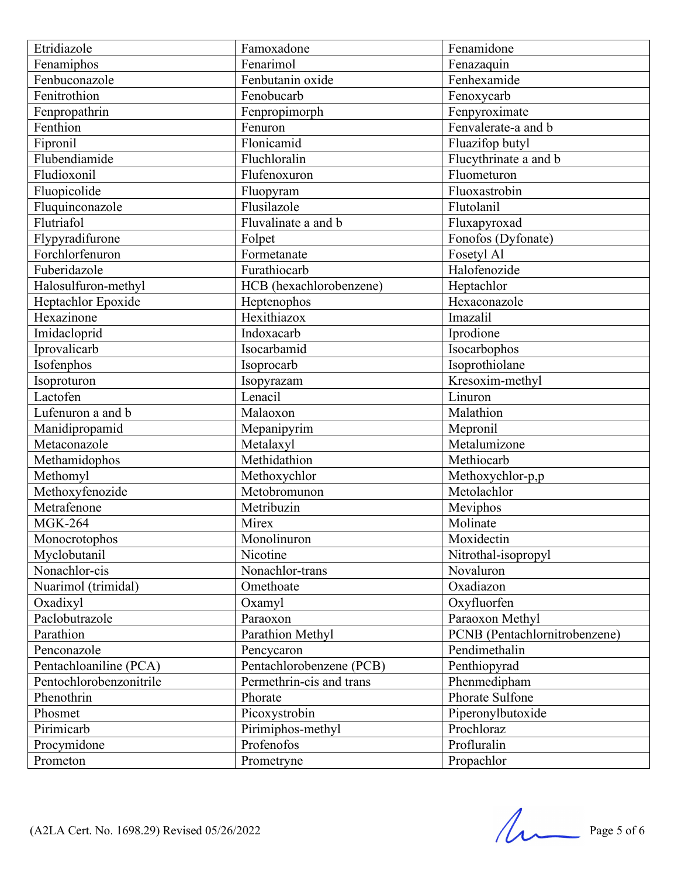| Fenarimol<br>Fenamiphos<br>Fenazaquin<br>Fenbutanin oxide<br>Fenhexamide<br>Fenbuconazole<br>Fenitrothion<br>Fenobucarb<br>Fenoxycarb<br>Fenpropimorph<br>Fenpropathrin<br>Fenpyroximate<br>Fenthion<br>Fenvalerate-a and b<br>Fenuron<br>Flonicamid<br>Fipronil<br>Fluazifop butyl<br>Flubendiamide<br>Fluchloralin<br>Flucythrinate a and b<br>Fludioxonil<br>Flufenoxuron<br>Fluometuron<br>Fluopicolide<br>Fluoxastrobin<br>Fluopyram<br>Flusilazole<br>Fluquinconazole<br>Flutolanil<br>Flutriafol<br>Fluvalinate a and b<br>Fluxapyroxad<br>Flypyradifurone<br>Folpet<br>Fonofos (Dyfonate)<br>Forchlorfenuron<br>Fosetyl Al<br>Formetanate<br>Fuberidazole<br>Furathiocarb<br>Halofenozide<br>Halosulfuron-methyl<br>HCB (hexachlorobenzene)<br>Heptachlor<br>Hexaconazole<br>Heptachlor Epoxide<br>Heptenophos<br>Hexazinone<br>Hexithiazox<br>Imazalil<br>Imidacloprid<br>Iprodione<br>Indoxacarb<br>Isocarbamid<br>Iprovalicarb<br>Isocarbophos<br>Isofenphos<br>Isoprothiolane<br>Isoprocarb<br>Kresoxim-methyl<br>Isoproturon<br>Isopyrazam<br>Linuron<br>Lactofen<br>Lenacil<br>Malathion<br>Lufenuron a and b<br>Malaoxon<br>Manidipropamid<br>Mepronil<br>Mepanipyrim<br>Metalumizone<br>Metaconazole<br>Metalaxyl<br>Methidathion<br>Methiocarb<br>Methamidophos<br>Methomyl<br>Methoxychlor<br>Methoxychlor-p,p<br>Methoxyfenozide<br>Metobromunon<br>Metolachlor<br>Metrafenone<br>Metribuzin<br>Meviphos<br><b>MGK-264</b><br>Molinate<br>Mirex<br>Monolinuron<br>Moxidectin<br>Monocrotophos<br>Nicotine<br>Nitrothal-isopropyl<br>Myclobutanil<br>Nonachlor-cis<br>Nonachlor-trans<br>Novaluron<br>Nuarimol (trimidal)<br>Oxadiazon<br>Omethoate<br>Oxyfluorfen<br>Oxadixyl<br>Oxamyl<br>Paclobutrazole<br>Paraoxon Methyl<br>Paraoxon<br>Parathion Methyl<br>Parathion<br>PCNB (Pentachlornitrobenzene)<br>Pendimethalin<br>Penconazole<br>Pencycaron<br>Pentachloaniline (PCA)<br>Pentachlorobenzene (PCB)<br>Penthiopyrad<br>Permethrin-cis and trans<br>Pentochlorobenzonitrile<br>Phenmedipham<br>Phenothrin<br>Phorate Sulfone<br>Phorate<br>Picoxystrobin<br>Piperonylbutoxide<br>Phosmet<br>Prochloraz<br>Pirimicarb<br>Pirimiphos-methyl<br>Procymidone<br>Profenofos<br>Profluralin | Etridiazole | Famoxadone | Fenamidone |
|--------------------------------------------------------------------------------------------------------------------------------------------------------------------------------------------------------------------------------------------------------------------------------------------------------------------------------------------------------------------------------------------------------------------------------------------------------------------------------------------------------------------------------------------------------------------------------------------------------------------------------------------------------------------------------------------------------------------------------------------------------------------------------------------------------------------------------------------------------------------------------------------------------------------------------------------------------------------------------------------------------------------------------------------------------------------------------------------------------------------------------------------------------------------------------------------------------------------------------------------------------------------------------------------------------------------------------------------------------------------------------------------------------------------------------------------------------------------------------------------------------------------------------------------------------------------------------------------------------------------------------------------------------------------------------------------------------------------------------------------------------------------------------------------------------------------------------------------------------------------------------------------------------------------------------------------------------------------------------------------------------------------------------------------------------------------------------------------------------------------------------------------------------------------------------------------------------------------|-------------|------------|------------|
|                                                                                                                                                                                                                                                                                                                                                                                                                                                                                                                                                                                                                                                                                                                                                                                                                                                                                                                                                                                                                                                                                                                                                                                                                                                                                                                                                                                                                                                                                                                                                                                                                                                                                                                                                                                                                                                                                                                                                                                                                                                                                                                                                                                                                    |             |            |            |
|                                                                                                                                                                                                                                                                                                                                                                                                                                                                                                                                                                                                                                                                                                                                                                                                                                                                                                                                                                                                                                                                                                                                                                                                                                                                                                                                                                                                                                                                                                                                                                                                                                                                                                                                                                                                                                                                                                                                                                                                                                                                                                                                                                                                                    |             |            |            |
|                                                                                                                                                                                                                                                                                                                                                                                                                                                                                                                                                                                                                                                                                                                                                                                                                                                                                                                                                                                                                                                                                                                                                                                                                                                                                                                                                                                                                                                                                                                                                                                                                                                                                                                                                                                                                                                                                                                                                                                                                                                                                                                                                                                                                    |             |            |            |
|                                                                                                                                                                                                                                                                                                                                                                                                                                                                                                                                                                                                                                                                                                                                                                                                                                                                                                                                                                                                                                                                                                                                                                                                                                                                                                                                                                                                                                                                                                                                                                                                                                                                                                                                                                                                                                                                                                                                                                                                                                                                                                                                                                                                                    |             |            |            |
|                                                                                                                                                                                                                                                                                                                                                                                                                                                                                                                                                                                                                                                                                                                                                                                                                                                                                                                                                                                                                                                                                                                                                                                                                                                                                                                                                                                                                                                                                                                                                                                                                                                                                                                                                                                                                                                                                                                                                                                                                                                                                                                                                                                                                    |             |            |            |
|                                                                                                                                                                                                                                                                                                                                                                                                                                                                                                                                                                                                                                                                                                                                                                                                                                                                                                                                                                                                                                                                                                                                                                                                                                                                                                                                                                                                                                                                                                                                                                                                                                                                                                                                                                                                                                                                                                                                                                                                                                                                                                                                                                                                                    |             |            |            |
|                                                                                                                                                                                                                                                                                                                                                                                                                                                                                                                                                                                                                                                                                                                                                                                                                                                                                                                                                                                                                                                                                                                                                                                                                                                                                                                                                                                                                                                                                                                                                                                                                                                                                                                                                                                                                                                                                                                                                                                                                                                                                                                                                                                                                    |             |            |            |
|                                                                                                                                                                                                                                                                                                                                                                                                                                                                                                                                                                                                                                                                                                                                                                                                                                                                                                                                                                                                                                                                                                                                                                                                                                                                                                                                                                                                                                                                                                                                                                                                                                                                                                                                                                                                                                                                                                                                                                                                                                                                                                                                                                                                                    |             |            |            |
|                                                                                                                                                                                                                                                                                                                                                                                                                                                                                                                                                                                                                                                                                                                                                                                                                                                                                                                                                                                                                                                                                                                                                                                                                                                                                                                                                                                                                                                                                                                                                                                                                                                                                                                                                                                                                                                                                                                                                                                                                                                                                                                                                                                                                    |             |            |            |
|                                                                                                                                                                                                                                                                                                                                                                                                                                                                                                                                                                                                                                                                                                                                                                                                                                                                                                                                                                                                                                                                                                                                                                                                                                                                                                                                                                                                                                                                                                                                                                                                                                                                                                                                                                                                                                                                                                                                                                                                                                                                                                                                                                                                                    |             |            |            |
|                                                                                                                                                                                                                                                                                                                                                                                                                                                                                                                                                                                                                                                                                                                                                                                                                                                                                                                                                                                                                                                                                                                                                                                                                                                                                                                                                                                                                                                                                                                                                                                                                                                                                                                                                                                                                                                                                                                                                                                                                                                                                                                                                                                                                    |             |            |            |
|                                                                                                                                                                                                                                                                                                                                                                                                                                                                                                                                                                                                                                                                                                                                                                                                                                                                                                                                                                                                                                                                                                                                                                                                                                                                                                                                                                                                                                                                                                                                                                                                                                                                                                                                                                                                                                                                                                                                                                                                                                                                                                                                                                                                                    |             |            |            |
|                                                                                                                                                                                                                                                                                                                                                                                                                                                                                                                                                                                                                                                                                                                                                                                                                                                                                                                                                                                                                                                                                                                                                                                                                                                                                                                                                                                                                                                                                                                                                                                                                                                                                                                                                                                                                                                                                                                                                                                                                                                                                                                                                                                                                    |             |            |            |
|                                                                                                                                                                                                                                                                                                                                                                                                                                                                                                                                                                                                                                                                                                                                                                                                                                                                                                                                                                                                                                                                                                                                                                                                                                                                                                                                                                                                                                                                                                                                                                                                                                                                                                                                                                                                                                                                                                                                                                                                                                                                                                                                                                                                                    |             |            |            |
|                                                                                                                                                                                                                                                                                                                                                                                                                                                                                                                                                                                                                                                                                                                                                                                                                                                                                                                                                                                                                                                                                                                                                                                                                                                                                                                                                                                                                                                                                                                                                                                                                                                                                                                                                                                                                                                                                                                                                                                                                                                                                                                                                                                                                    |             |            |            |
|                                                                                                                                                                                                                                                                                                                                                                                                                                                                                                                                                                                                                                                                                                                                                                                                                                                                                                                                                                                                                                                                                                                                                                                                                                                                                                                                                                                                                                                                                                                                                                                                                                                                                                                                                                                                                                                                                                                                                                                                                                                                                                                                                                                                                    |             |            |            |
|                                                                                                                                                                                                                                                                                                                                                                                                                                                                                                                                                                                                                                                                                                                                                                                                                                                                                                                                                                                                                                                                                                                                                                                                                                                                                                                                                                                                                                                                                                                                                                                                                                                                                                                                                                                                                                                                                                                                                                                                                                                                                                                                                                                                                    |             |            |            |
|                                                                                                                                                                                                                                                                                                                                                                                                                                                                                                                                                                                                                                                                                                                                                                                                                                                                                                                                                                                                                                                                                                                                                                                                                                                                                                                                                                                                                                                                                                                                                                                                                                                                                                                                                                                                                                                                                                                                                                                                                                                                                                                                                                                                                    |             |            |            |
|                                                                                                                                                                                                                                                                                                                                                                                                                                                                                                                                                                                                                                                                                                                                                                                                                                                                                                                                                                                                                                                                                                                                                                                                                                                                                                                                                                                                                                                                                                                                                                                                                                                                                                                                                                                                                                                                                                                                                                                                                                                                                                                                                                                                                    |             |            |            |
|                                                                                                                                                                                                                                                                                                                                                                                                                                                                                                                                                                                                                                                                                                                                                                                                                                                                                                                                                                                                                                                                                                                                                                                                                                                                                                                                                                                                                                                                                                                                                                                                                                                                                                                                                                                                                                                                                                                                                                                                                                                                                                                                                                                                                    |             |            |            |
|                                                                                                                                                                                                                                                                                                                                                                                                                                                                                                                                                                                                                                                                                                                                                                                                                                                                                                                                                                                                                                                                                                                                                                                                                                                                                                                                                                                                                                                                                                                                                                                                                                                                                                                                                                                                                                                                                                                                                                                                                                                                                                                                                                                                                    |             |            |            |
|                                                                                                                                                                                                                                                                                                                                                                                                                                                                                                                                                                                                                                                                                                                                                                                                                                                                                                                                                                                                                                                                                                                                                                                                                                                                                                                                                                                                                                                                                                                                                                                                                                                                                                                                                                                                                                                                                                                                                                                                                                                                                                                                                                                                                    |             |            |            |
|                                                                                                                                                                                                                                                                                                                                                                                                                                                                                                                                                                                                                                                                                                                                                                                                                                                                                                                                                                                                                                                                                                                                                                                                                                                                                                                                                                                                                                                                                                                                                                                                                                                                                                                                                                                                                                                                                                                                                                                                                                                                                                                                                                                                                    |             |            |            |
|                                                                                                                                                                                                                                                                                                                                                                                                                                                                                                                                                                                                                                                                                                                                                                                                                                                                                                                                                                                                                                                                                                                                                                                                                                                                                                                                                                                                                                                                                                                                                                                                                                                                                                                                                                                                                                                                                                                                                                                                                                                                                                                                                                                                                    |             |            |            |
|                                                                                                                                                                                                                                                                                                                                                                                                                                                                                                                                                                                                                                                                                                                                                                                                                                                                                                                                                                                                                                                                                                                                                                                                                                                                                                                                                                                                                                                                                                                                                                                                                                                                                                                                                                                                                                                                                                                                                                                                                                                                                                                                                                                                                    |             |            |            |
|                                                                                                                                                                                                                                                                                                                                                                                                                                                                                                                                                                                                                                                                                                                                                                                                                                                                                                                                                                                                                                                                                                                                                                                                                                                                                                                                                                                                                                                                                                                                                                                                                                                                                                                                                                                                                                                                                                                                                                                                                                                                                                                                                                                                                    |             |            |            |
|                                                                                                                                                                                                                                                                                                                                                                                                                                                                                                                                                                                                                                                                                                                                                                                                                                                                                                                                                                                                                                                                                                                                                                                                                                                                                                                                                                                                                                                                                                                                                                                                                                                                                                                                                                                                                                                                                                                                                                                                                                                                                                                                                                                                                    |             |            |            |
|                                                                                                                                                                                                                                                                                                                                                                                                                                                                                                                                                                                                                                                                                                                                                                                                                                                                                                                                                                                                                                                                                                                                                                                                                                                                                                                                                                                                                                                                                                                                                                                                                                                                                                                                                                                                                                                                                                                                                                                                                                                                                                                                                                                                                    |             |            |            |
|                                                                                                                                                                                                                                                                                                                                                                                                                                                                                                                                                                                                                                                                                                                                                                                                                                                                                                                                                                                                                                                                                                                                                                                                                                                                                                                                                                                                                                                                                                                                                                                                                                                                                                                                                                                                                                                                                                                                                                                                                                                                                                                                                                                                                    |             |            |            |
|                                                                                                                                                                                                                                                                                                                                                                                                                                                                                                                                                                                                                                                                                                                                                                                                                                                                                                                                                                                                                                                                                                                                                                                                                                                                                                                                                                                                                                                                                                                                                                                                                                                                                                                                                                                                                                                                                                                                                                                                                                                                                                                                                                                                                    |             |            |            |
|                                                                                                                                                                                                                                                                                                                                                                                                                                                                                                                                                                                                                                                                                                                                                                                                                                                                                                                                                                                                                                                                                                                                                                                                                                                                                                                                                                                                                                                                                                                                                                                                                                                                                                                                                                                                                                                                                                                                                                                                                                                                                                                                                                                                                    |             |            |            |
|                                                                                                                                                                                                                                                                                                                                                                                                                                                                                                                                                                                                                                                                                                                                                                                                                                                                                                                                                                                                                                                                                                                                                                                                                                                                                                                                                                                                                                                                                                                                                                                                                                                                                                                                                                                                                                                                                                                                                                                                                                                                                                                                                                                                                    |             |            |            |
|                                                                                                                                                                                                                                                                                                                                                                                                                                                                                                                                                                                                                                                                                                                                                                                                                                                                                                                                                                                                                                                                                                                                                                                                                                                                                                                                                                                                                                                                                                                                                                                                                                                                                                                                                                                                                                                                                                                                                                                                                                                                                                                                                                                                                    |             |            |            |
|                                                                                                                                                                                                                                                                                                                                                                                                                                                                                                                                                                                                                                                                                                                                                                                                                                                                                                                                                                                                                                                                                                                                                                                                                                                                                                                                                                                                                                                                                                                                                                                                                                                                                                                                                                                                                                                                                                                                                                                                                                                                                                                                                                                                                    |             |            |            |
|                                                                                                                                                                                                                                                                                                                                                                                                                                                                                                                                                                                                                                                                                                                                                                                                                                                                                                                                                                                                                                                                                                                                                                                                                                                                                                                                                                                                                                                                                                                                                                                                                                                                                                                                                                                                                                                                                                                                                                                                                                                                                                                                                                                                                    |             |            |            |
|                                                                                                                                                                                                                                                                                                                                                                                                                                                                                                                                                                                                                                                                                                                                                                                                                                                                                                                                                                                                                                                                                                                                                                                                                                                                                                                                                                                                                                                                                                                                                                                                                                                                                                                                                                                                                                                                                                                                                                                                                                                                                                                                                                                                                    |             |            |            |
|                                                                                                                                                                                                                                                                                                                                                                                                                                                                                                                                                                                                                                                                                                                                                                                                                                                                                                                                                                                                                                                                                                                                                                                                                                                                                                                                                                                                                                                                                                                                                                                                                                                                                                                                                                                                                                                                                                                                                                                                                                                                                                                                                                                                                    |             |            |            |
|                                                                                                                                                                                                                                                                                                                                                                                                                                                                                                                                                                                                                                                                                                                                                                                                                                                                                                                                                                                                                                                                                                                                                                                                                                                                                                                                                                                                                                                                                                                                                                                                                                                                                                                                                                                                                                                                                                                                                                                                                                                                                                                                                                                                                    |             |            |            |
|                                                                                                                                                                                                                                                                                                                                                                                                                                                                                                                                                                                                                                                                                                                                                                                                                                                                                                                                                                                                                                                                                                                                                                                                                                                                                                                                                                                                                                                                                                                                                                                                                                                                                                                                                                                                                                                                                                                                                                                                                                                                                                                                                                                                                    |             |            |            |
|                                                                                                                                                                                                                                                                                                                                                                                                                                                                                                                                                                                                                                                                                                                                                                                                                                                                                                                                                                                                                                                                                                                                                                                                                                                                                                                                                                                                                                                                                                                                                                                                                                                                                                                                                                                                                                                                                                                                                                                                                                                                                                                                                                                                                    |             |            |            |
|                                                                                                                                                                                                                                                                                                                                                                                                                                                                                                                                                                                                                                                                                                                                                                                                                                                                                                                                                                                                                                                                                                                                                                                                                                                                                                                                                                                                                                                                                                                                                                                                                                                                                                                                                                                                                                                                                                                                                                                                                                                                                                                                                                                                                    |             |            |            |
|                                                                                                                                                                                                                                                                                                                                                                                                                                                                                                                                                                                                                                                                                                                                                                                                                                                                                                                                                                                                                                                                                                                                                                                                                                                                                                                                                                                                                                                                                                                                                                                                                                                                                                                                                                                                                                                                                                                                                                                                                                                                                                                                                                                                                    |             |            |            |
|                                                                                                                                                                                                                                                                                                                                                                                                                                                                                                                                                                                                                                                                                                                                                                                                                                                                                                                                                                                                                                                                                                                                                                                                                                                                                                                                                                                                                                                                                                                                                                                                                                                                                                                                                                                                                                                                                                                                                                                                                                                                                                                                                                                                                    |             |            |            |
|                                                                                                                                                                                                                                                                                                                                                                                                                                                                                                                                                                                                                                                                                                                                                                                                                                                                                                                                                                                                                                                                                                                                                                                                                                                                                                                                                                                                                                                                                                                                                                                                                                                                                                                                                                                                                                                                                                                                                                                                                                                                                                                                                                                                                    |             |            |            |
|                                                                                                                                                                                                                                                                                                                                                                                                                                                                                                                                                                                                                                                                                                                                                                                                                                                                                                                                                                                                                                                                                                                                                                                                                                                                                                                                                                                                                                                                                                                                                                                                                                                                                                                                                                                                                                                                                                                                                                                                                                                                                                                                                                                                                    | Prometon    | Prometryne | Propachlor |

(A2LA Cert. No. 1698.29) Revised  $05/26/2022$  Page 5 of 6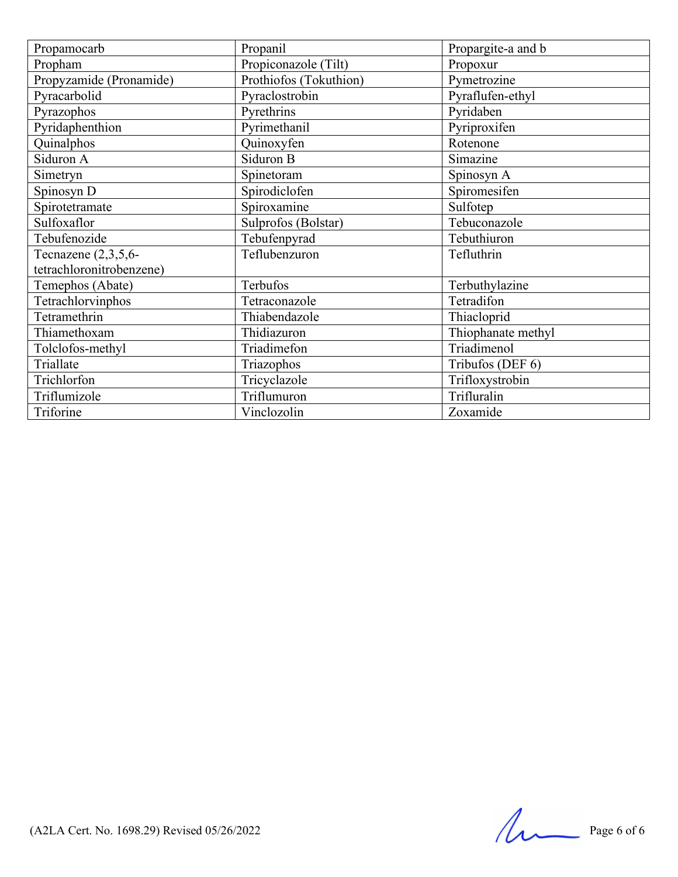| Propamocarb              | Propanil               | Propargite-a and b |
|--------------------------|------------------------|--------------------|
| Propham                  | Propiconazole (Tilt)   | Propoxur           |
| Propyzamide (Pronamide)  | Prothiofos (Tokuthion) | Pymetrozine        |
| Pyracarbolid             | Pyraclostrobin         | Pyraflufen-ethyl   |
| Pyrazophos               | Pyrethrins             | Pyridaben          |
| Pyridaphenthion          | Pyrimethanil           | Pyriproxifen       |
| Quinalphos               | Quinoxyfen             | Rotenone           |
| Siduron A                | Siduron B              | Simazine           |
| Simetryn                 | Spinetoram             | Spinosyn A         |
| Spinosyn D               | Spirodiclofen          | Spiromesifen       |
| Spirotetramate           | Spiroxamine            | Sulfotep           |
| Sulfoxaflor              | Sulprofos (Bolstar)    | Tebuconazole       |
| Tebufenozide             | Tebufenpyrad           | Tebuthiuron        |
| Tecnazene $(2,3,5,6$ -   | Teflubenzuron          | Tefluthrin         |
| tetrachloronitrobenzene) |                        |                    |
| Temephos (Abate)         | Terbufos               | Terbuthylazine     |
| Tetrachlorvinphos        | Tetraconazole          | Tetradifon         |
| Tetramethrin             | Thiabendazole          | Thiacloprid        |
| Thiamethoxam             | Thidiazuron            | Thiophanate methyl |
| Tolclofos-methyl         | Triadimefon            | Triadimenol        |
| Triallate                | Triazophos             | Tribufos (DEF 6)   |
| Trichlorfon              | Tricyclazole           | Trifloxystrobin    |
| Triflumizole             | Triflumuron            | Trifluralin        |
| Triforine                | Vinclozolin            | Zoxamide           |

(A2LA Cert. No. 1698.29) Revised  $05/26/2022$  Page 6 of 6